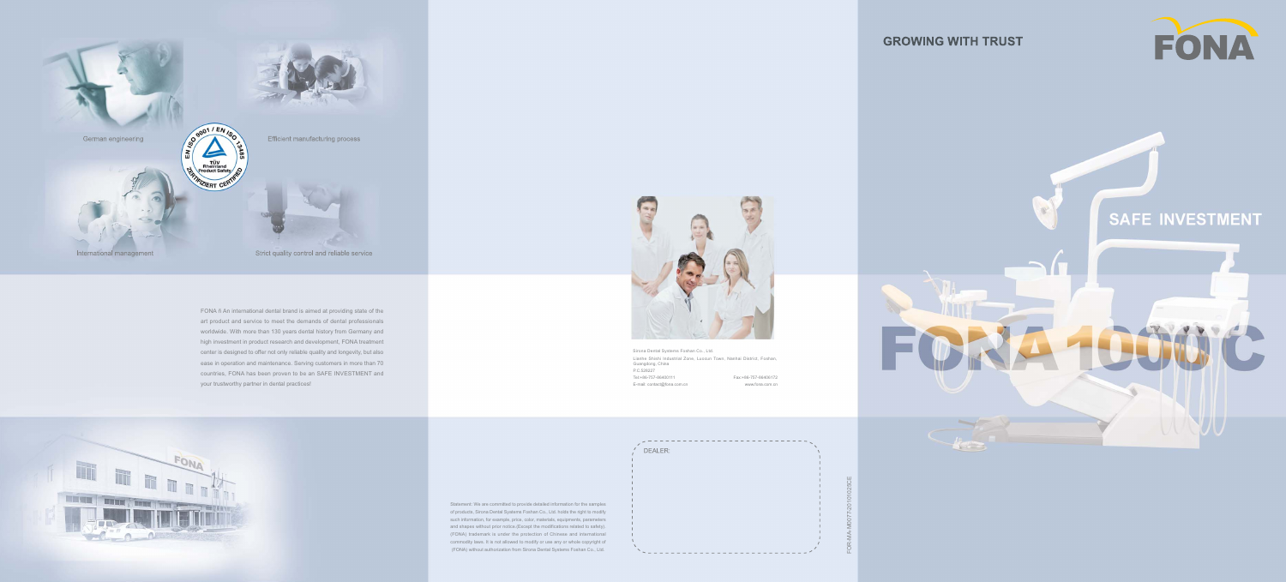Statement: We are committed to provide detailed information for the samples of products, Sirona Dental Syatems Foshan Co., Ltd. holds the right to modify such information, for example, price, color, materials, equipments, parameters and shapes without prior notice.(Except the modifications related to safety). (FONA) trademark is under the protection of Chinese and international commodity laws. It is not allowed to modify or use any or whole copyright of (FONA) without authorization from Sirona Dental Systems Foshan Co., Ltd.





FONA ñ An international dental brand is aimed at providing state of the art product and service to meet the demands of dental professionals worldwide. With more than 130 years dental history from Germany and high investment in product research and development, FONA treatment center is designed to offer not only reliable quality and longevity, but also ease in operation and maintenance. Serving customers in more than 70 countries, FONA has been proven to be an SAFE INVESTMENT and your trustworthy partner in dental practices!



FOR-MA-M0077-20101025CE



Sirona Dental Systems Foshan Co., Ltd. Lianhe Shishi Industrial Zone, Luocun Town, Nanhai District, Foshan, Guangdong, China

\\\_\_\_\_\_\_\_\_\_\_\_\_\_\_\_\_\_\_\_\_\_\_\_\_\_\_\_\_\_\_\_\_\_

P.C.528227

## **GROWING WITH TRUST**





E-mail: contact@fona.com.cn www.fona.com.cn

DEALER:

Tel:+86-757-86400111 Fax:+86-757-86406172